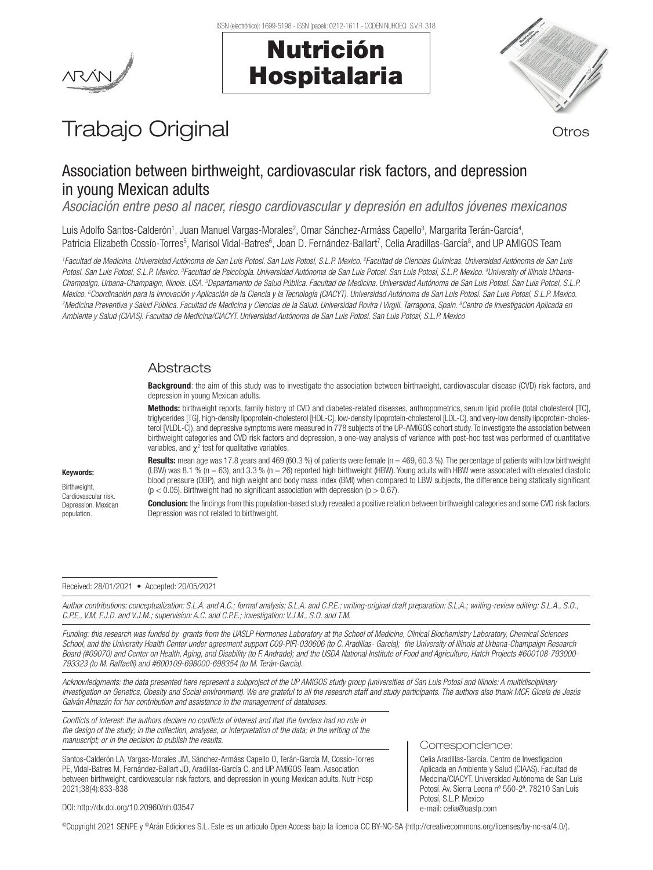# Nutrición Hospitalaria



# Trabajo Original **Trabajo Original**

# Association between birthweight, cardiovascular risk factors, and depression in young Mexican adults

*Asociación entre peso al nacer, riesgo cardiovascular y depresión en adultos jóvenes mexicanos*

Luis Adolfo Santos-Calderón<sup>1</sup>, Juan Manuel Vargas-Morales<sup>2</sup>, Omar Sánchez-Armáss Capello<sup>3</sup>, Margarita Terán-García<sup>4</sup>, Patricia Elizabeth Cossío-Torres<sup>5</sup>, Marisol Vidal-Batres<sup>6</sup>, Joan D. Fernández-Ballart<sup>7</sup>, Celia Aradillas-García<sup>8</sup>, and UP AMIGOS Team

<sup>1</sup> Facultad de Medicina. Universidad Autónoma de San Luis Potosí, San Luis Potosí, S.L.P. Mexico. <sup>2</sup> Facultad de Ciencias Químicas. Universidad Autónoma de San Luis *Potosí. San Luis Potosí, S.L.P. Mexico. 3 Facultad de Psicología. Universidad Autónoma de San Luis Potosí. San Luis Potosí, S.L.P. Mexico. 4 University of Illinois Urbana-*Champaign. Urbana-Champaign, Illinois. USA. <sup>s</sup>Departamento de Salud Pública. Facultad de Medicina. Universidad Autónoma de San Luis Potosí. San Luis Potosí, S.L.P. Mexico. <sup>e</sup>Coordinación para la Innovación y Aplicación de la Ciencia y la Tecnología (CIACYT). Universidad Autónoma de San Luis Potosí, San Luis Potosí, S.L.P. Mexico.<br><sup>7</sup>Medicina Preventiva y Salud Pública. Eacultad de M *Medicina Preventiva y Salud Pública. Facultad de Medicina y Ciencias de la Salud. Universidad Rovira i Virgili. Tarragona, Spain. 8 Centro de Investigacion Aplicada en Ambiente y Salud (CIAAS). Facultad de Medicina/CIACYT. Universidad Autónoma de San Luis Potosí. San Luis Potosí, S.L.P. Mexico* 

## **Abstracts**

Background: the aim of this study was to investigate the association between birthweight, cardiovascular disease (CVD) risk factors, and depression in young Mexican adults.

Methods: birthweight reports, family history of CVD and diabetes-related diseases, anthropometrics, serum lipid profile (total cholesterol [TC], triglycerides [TG], high-density lipoprotein-cholesterol [HDL-C], low-density lipoprotein-cholesterol [LDL-C], and very-low density lipoprotein-cholesterol [VLDL-C]), and depressive symptoms were measured in 778 subjects of the UP-AMIGOS cohort study. To investigate the association between birthweight categories and CVD risk factors and depression, a one-way analysis of variance with post-hoc test was performed of quantitative variables, and  $\chi^2$  test for qualitative variables.

Results: mean age was 17.8 years and 469 (60.3 %) of patients were female (n = 469, 60.3 %). The percentage of patients with low birthweight (LBW) was 8.1 % (n = 63), and 3.3 % (n = 26) reported high birthweight (HBW). Young adults with HBW were associated with elevated diastolic blood pressure (DBP), and high weight and body mass index (BMI) when compared to LBW subjects, the difference being statically significant  $(p < 0.05)$ . Birthweight had no significant association with depression  $(p > 0.67)$ .

Conclusion: the findings from this population-based study revealed a positive relation between birthweight categories and some CVD risk factors. Depression was not related to birthweight.

#### Received: 28/01/2021 • Accepted: 20/05/2021

*Author contributions: conceptualization: S.L.A. and A.C.; formal analysis: S.L.A. and C.P.E.; writing-original draft preparation: S.L.A.; writing-review editing: S.L.A., S.O., C.P.E., V.M, F.J.D. and V.J.M.; supervision: A.C. and C.P.E.; investigation: V.J.M., S.O. and T.M.*

*Funding: this research was funded by grants from the UASLP Hormones Laboratory at the School of Medicine, Clinical Biochemistry Laboratory, Chemical Sciences School, and the University Health Center under agreement support C09-PIFI-030606 (to C. Aradillas- García); the University of Illinois at Urbana-Champaign Research Board (#09070) and Center on Health, Aging, and Disability (to F. Andrade); and the USDA National Institute of Food and Agriculture, Hatch Projects #600108-793000- 793323 (to M. Raffaelli) and #600109-698000-698354 (to M. Terán-García).*

*Acknowledgments: the data presented here represent a subproject of the UP AMIGOS study group (universities of San Luis Potosí and Illinois: A multidisciplinary Investigation on Genetics, Obesity and Social environment). We are grateful to all the research staff and study participants. The authors also thank MCF. Gicela de Jesús Galván Almazán for her contribution and assistance in the management of databases.* 

*Conflicts of interest: the authors declare no conflicts of interest and that the funders had no role in the design of the study; in the collection, analyses, or interpretation of the data; in the writing of the manuscript; or in the decision to publish the results.*

Santos-Calderón LA, Vargas-Morales JM, Sánchez-Armáss Capello O, Terán-García M, Cossío-Torres PE, Vidal-Batres M, Fernández-Ballart JD, Aradillas-García C, and UP AMIGOS Team. Association between birthweight, cardiovascular risk factors, and depression in young Mexican adults. Nutr Hosp 2021;38(4):833-838

#### Correspondence:

Celia Aradillas-García. Centro de Investigacion Aplicada en Ambiente y Salud (CIAAS). Facultad de Medcina/CIACYT. Universidad Autónoma de San Luis Potosí. Av. Sierra Leona nº 550-2ª. 78210 San Luis Potosí, S.L.P. Mexico e-mail: celia@uaslp.com

DOI: http://dx.doi.org/10.20960/nh.03547

©Copyright 2021 SENPE y ©Arán Ediciones S.L. Este es un artículo Open Access bajo la licencia CC BY-NC-SA (http://creativecommons.org/licenses/by-nc-sa/4.0/).

Keywords:

Birthweight. Cardiovascular risk. Depression. Mexican population.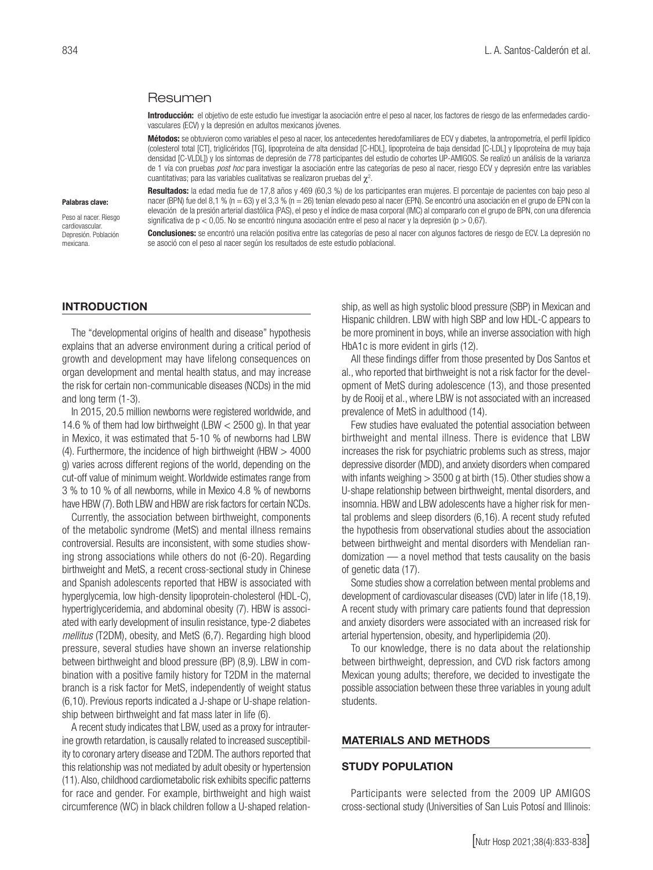#### Resumen

Introducción: el objetivo de este estudio fue investigar la asociación entre el peso al nacer, los factores de riesgo de las enfermedades cardiovasculares (ECV) y la depresión en adultos mexicanos jóvenes.

Métodos: se obtuvieron como variables el peso al nacer, los antecedentes heredofamiliares de ECV y diabetes, la antropometría, el perfil lipídico (colesterol total [CT], triglicéridos [TG], lipoproteína de alta densidad [C-HDL], lipoproteína de baja densidad [C-LDL] y lipoproteína de muy baja densidad [C-VLDL]) y los síntomas de depresión de 778 participantes del estudio de cohortes UP-AMIGOS. Se realizó un análisis de la varianza de 1 vía con pruebas *post hoc* para investigar la asociación entre las categorías de peso al nacer, riesgo ECV y depresión entre las variables cuantitativas; para las variables cualitativas se realizaron pruebas del  $\chi^2$ .

#### Palabras clave:

Peso al nacer. Riesgo cardiovascular. Depresión. Población mexicana.

Resultados: la edad media fue de 17,8 años y 469 (60,3 %) de los participantes eran mujeres. El porcentaje de pacientes con bajo peso al nacer (BPN) fue del 8,1 % (n = 63) y el 3,3 % (n = 26) tenían elevado peso al nacer (EPN). Se encontró una asociación en el grupo de EPN con la elevación de la presión arterial diastólica (PAS), el peso y el índice de masa corporal (IMC) al compararlo con el grupo de BPN, con una diferencia significativa de p < 0,05. No se encontró ninguna asociación entre el peso al nacer y la depresión (p > 0,67).

Conclusiones: se encontró una relación positiva entre las categorías de peso al nacer con algunos factores de riesgo de ECV. La depresión no se asoció con el peso al nacer según los resultados de este estudio poblacional.

#### INTRODUCTION

The "developmental origins of health and disease" hypothesis explains that an adverse environment during a critical period of growth and development may have lifelong consequences on organ development and mental health status, and may increase the risk for certain non-communicable diseases (NCDs) in the mid and long term (1-3).

In 2015, 20.5 million newborns were registered worldwide, and 14.6 % of them had low birthweight (LBW < 2500 g). In that year in Mexico, it was estimated that 5-10 % of newborns had LBW (4). Furthermore, the incidence of high birthweight (HBW  $>$  4000 g) varies across different regions of the world, depending on the cut-off value of minimum weight. Worldwide estimates range from 3 % to 10 % of all newborns, while in Mexico 4.8 % of newborns have HBW (7). Both LBW and HBW are risk factors for certain NCDs.

Currently, the association between birthweight, components of the metabolic syndrome (MetS) and mental illness remains controversial. Results are inconsistent, with some studies showing strong associations while others do not (6-20). Regarding birthweight and MetS, a recent cross-sectional study in Chinese and Spanish adolescents reported that HBW is associated with hyperglycemia, low high-density lipoprotein-cholesterol (HDL-C), hypertriglyceridemia, and abdominal obesity (7). HBW is associated with early development of insulin resistance, type-2 diabetes *mellitus* (T2DM), obesity, and MetS (6,7). Regarding high blood pressure, several studies have shown an inverse relationship between birthweight and blood pressure (BP) (8,9). LBW in combination with a positive family history for T2DM in the maternal branch is a risk factor for MetS, independently of weight status (6,10). Previous reports indicated a J-shape or U-shape relationship between birthweight and fat mass later in life (6).

A recent study indicates that LBW, used as a proxy for intrauterine growth retardation, is causally related to increased susceptibility to coronary artery disease and T2DM. The authors reported that this relationship was not mediated by adult obesity or hypertension (11). Also, childhood cardiometabolic risk exhibits specific patterns for race and gender. For example, birthweight and high waist circumference (WC) in black children follow a U-shaped relationship, as well as high systolic blood pressure (SBP) in Mexican and Hispanic children. LBW with high SBP and low HDL-C appears to be more prominent in boys, while an inverse association with high HbA1c is more evident in girls (12).

All these findings differ from those presented by Dos Santos et al., who reported that birthweight is not a risk factor for the development of MetS during adolescence (13), and those presented by de Rooij et al., where LBW is not associated with an increased prevalence of MetS in adulthood (14).

Few studies have evaluated the potential association between birthweight and mental illness. There is evidence that LBW increases the risk for psychiatric problems such as stress, major depressive disorder (MDD), and anxiety disorders when compared with infants weighing  $>$  3500 g at birth (15). Other studies show a U-shape relationship between birthweight, mental disorders, and insomnia. HBW and LBW adolescents have a higher risk for mental problems and sleep disorders (6,16). A recent study refuted the hypothesis from observational studies about the association between birthweight and mental disorders with Mendelian randomization — a novel method that tests causality on the basis of genetic data (17).

Some studies show a correlation between mental problems and development of cardiovascular diseases (CVD) later in life (18,19). A recent study with primary care patients found that depression and anxiety disorders were associated with an increased risk for arterial hypertension, obesity, and hyperlipidemia (20).

To our knowledge, there is no data about the relationship between birthweight, depression, and CVD risk factors among Mexican young adults; therefore, we decided to investigate the possible association between these three variables in young adult students.

#### MATERIALS AND METHODS

#### STUDY POPULATION

Participants were selected from the 2009 UP AMIGOS cross-sectional study (Universities of San Luis Potosí and Illinois: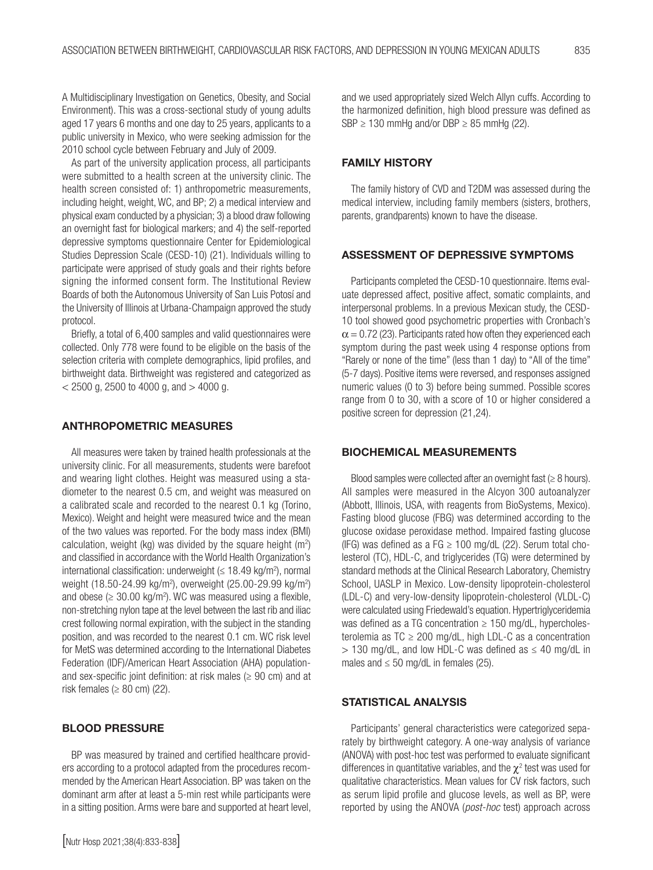A Multidisciplinary Investigation on Genetics, Obesity, and Social Environment). This was a cross-sectional study of young adults aged 17 years 6 months and one day to 25 years, applicants to a public university in Mexico, who were seeking admission for the 2010 school cycle between February and July of 2009.

As part of the university application process, all participants were submitted to a health screen at the university clinic. The health screen consisted of: 1) anthropometric measurements, including height, weight, WC, and BP; 2) a medical interview and physical exam conducted by a physician; 3) a blood draw following an overnight fast for biological markers; and 4) the self-reported depressive symptoms questionnaire Center for Epidemiological Studies Depression Scale (CESD-10) (21). Individuals willing to participate were apprised of study goals and their rights before signing the informed consent form. The Institutional Review Boards of both the Autonomous University of San Luis Potosí and the University of Illinois at Urbana-Champaign approved the study protocol.

Briefly, a total of 6,400 samples and valid questionnaires were collected. Only 778 were found to be eligible on the basis of the selection criteria with complete demographics, lipid profiles, and birthweight data. Birthweight was registered and categorized as  $<$  2500 g, 2500 to 4000 g, and  $>$  4000 g.

#### ANTHROPOMETRIC MEASURES

All measures were taken by trained health professionals at the university clinic. For all measurements, students were barefoot and wearing light clothes. Height was measured using a stadiometer to the nearest 0.5 cm, and weight was measured on a calibrated scale and recorded to the nearest 0.1 kg (Torino, Mexico). Weight and height were measured twice and the mean of the two values was reported. For the body mass index (BMI) calculation, weight (kg) was divided by the square height  $(m^2)$ and classified in accordance with the World Health Organization's international classification: underweight  $(\leq 18.49 \text{ kg/m}^2)$ , normal weight (18.50-24.99 kg/m<sup>2</sup>), overweight (25.00-29.99 kg/m<sup>2</sup>) and obese ( $\geq 30.00$  kg/m<sup>2</sup>). WC was measured using a flexible, non-stretching nylon tape at the level between the last rib and iliac crest following normal expiration, with the subject in the standing position, and was recorded to the nearest 0.1 cm. WC risk level for MetS was determined according to the International Diabetes Federation (IDF)/American Heart Association (AHA) populationand sex-specific joint definition: at risk males ( $\geq$  90 cm) and at risk females  $(≥ 80$  cm $)$  (22).

### BLOOD PRESSURE

BP was measured by trained and certified healthcare providers according to a protocol adapted from the procedures recommended by the American Heart Association. BP was taken on the dominant arm after at least a 5-min rest while participants were in a sitting position. Arms were bare and supported at heart level, and we used appropriately sized Welch Allyn cuffs. According to the harmonized definition, high blood pressure was defined as  $SBP \ge 130$  mmHg and/or DBP  $\ge 85$  mmHg (22).

#### FAMILY HISTORY

The family history of CVD and T2DM was assessed during the medical interview, including family members (sisters, brothers, parents, grandparents) known to have the disease.

#### ASSESSMENT OF DEPRESSIVE SYMPTOMS

Participants completed the CESD-10 questionnaire. Items evaluate depressed affect, positive affect, somatic complaints, and interpersonal problems. In a previous Mexican study, the CESD-10 tool showed good psychometric properties with Cronbach's  $\alpha$  = 0.72 (23). Participants rated how often they experienced each symptom during the past week using 4 response options from "Rarely or none of the time" (less than 1 day) to "All of the time" (5-7 days). Positive items were reversed, and responses assigned numeric values (0 to 3) before being summed. Possible scores range from 0 to 30, with a score of 10 or higher considered a positive screen for depression (21,24).

### BIOCHEMICAL MEASUREMENTS

Blood samples were collected after an overnight fast  $(\geq 8$  hours). All samples were measured in the Alcyon 300 autoanalyzer (Abbott, Illinois, USA, with reagents from BioSystems, Mexico). Fasting blood glucose (FBG) was determined according to the glucose oxidase peroxidase method. Impaired fasting glucose (IFG) was defined as a FG  $\geq$  100 mg/dL (22). Serum total cholesterol (TC), HDL-C, and triglycerides (TG) were determined by standard methods at the Clinical Research Laboratory, Chemistry School, UASLP in Mexico. Low-density lipoprotein-cholesterol (LDL-C) and very-low-density lipoprotein-cholesterol (VLDL-C) were calculated using Friedewald's equation. Hypertriglyceridemia was defined as a TG concentration  $\geq 150$  mg/dL, hypercholesterolemia as  $TC \ge 200$  mg/dL, high LDL-C as a concentration  $> 130$  mg/dL, and low HDL-C was defined as  $\leq 40$  mg/dL in males and  $\leq$  50 mg/dL in females (25).

### STATISTICAL ANALYSIS

Participants' general characteristics were categorized separately by birthweight category. A one-way analysis of variance (ANOVA) with post-hoc test was performed to evaluate significant differences in quantitative variables, and the  $\chi^2$  test was used for qualitative characteristics. Mean values for CV risk factors, such as serum lipid profile and glucose levels, as well as BP, were reported by using the ANOVA (*post-hoc* test) approach across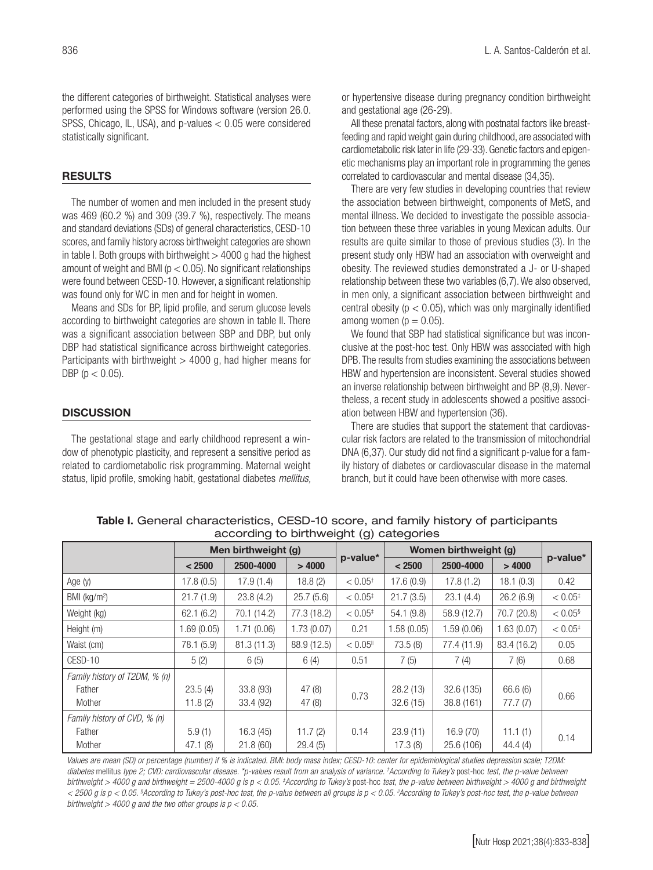the different categories of birthweight. Statistical analyses were performed using the SPSS for Windows software (version 26.0. SPSS, Chicago, IL, USA), and p-values < 0.05 were considered statistically significant.

### RESULTS

The number of women and men included in the present study was 469 (60.2 %) and 309 (39.7 %), respectively. The means and standard deviations (SDs) of general characteristics, CESD-10 scores, and family history across birthweight categories are shown in table I. Both groups with birthweight  $>$  4000 g had the highest amount of weight and BMI ( $p < 0.05$ ). No significant relationships were found between CESD-10. However, a significant relationship was found only for WC in men and for height in women.

Means and SDs for BP, lipid profile, and serum glucose levels according to birthweight categories are shown in table II. There was a significant association between SBP and DBP, but only DBP had statistical significance across birthweight categories. Participants with birthweight  $>$  4000 g, had higher means for DBP ( $p < 0.05$ ).

### **DISCUSSION**

The gestational stage and early childhood represent a window of phenotypic plasticity, and represent a sensitive period as related to cardiometabolic risk programming. Maternal weight status, lipid profile, smoking habit, gestational diabetes *mellitus,*  or hypertensive disease during pregnancy condition birthweight and gestational age (26-29).

All these prenatal factors, along with postnatal factors like breastfeeding and rapid weight gain during childhood, are associated with cardiometabolic risk later in life (29-33). Genetic factors and epigenetic mechanisms play an important role in programming the genes correlated to cardiovascular and mental disease (34,35).

There are very few studies in developing countries that review the association between birthweight, components of MetS, and mental illness. We decided to investigate the possible association between these three variables in young Mexican adults. Our results are quite similar to those of previous studies (3). In the present study only HBW had an association with overweight and obesity. The reviewed studies demonstrated a J- or U-shaped relationship between these two variables (6,7). We also observed, in men only, a significant association between birthweight and central obesity ( $p < 0.05$ ), which was only marginally identified among women ( $p = 0.05$ ).

We found that SBP had statistical significance but was inconclusive at the post-hoc test. Only HBW was associated with high DPB. The results from studies examining the associations between HBW and hypertension are inconsistent. Several studies showed an inverse relationship between birthweight and BP (8,9). Nevertheless, a recent study in adolescents showed a positive association between HBW and hypertension (36).

There are studies that support the statement that cardiovascular risk factors are related to the transmission of mitochondrial DNA (6,37). Our study did not find a significant p-value for a family history of diabetes or cardiovascular disease in the maternal branch, but it could have been otherwise with more cases.

| -------                       |                     |             |             |                        |                       |             |             |                       |  |
|-------------------------------|---------------------|-------------|-------------|------------------------|-----------------------|-------------|-------------|-----------------------|--|
|                               | Men birthweight (g) |             |             |                        | Women birthweight (g) |             |             |                       |  |
|                               | < 2500              | 2500-4000   | >4000       | p-value*               | < 2500                | 2500-4000   | >4000       | p-value*              |  |
| Age $(y)$                     | 17.8 (0.5)          | 17.9(1.4)   | 18.8(2)     | $< 0.05$ <sup>+</sup>  | 17.6(0.9)             | 17.8(1.2)   | 18.1(0.3)   | 0.42                  |  |
| BMI ( $kg/m2$ )               | 21.7(1.9)           | 23.8(4.2)   | 25.7(5.6)   | $< 0.05$ <sup>‡</sup>  | 21.7(3.5)             | 23.1(4.4)   | 26.2(6.9)   | $< 0.05$ <sup>‡</sup> |  |
| Weight (kg)                   | 62.1(6.2)           | 70.1 (14.2) | 77.3 (18.2) | $< 0.05^{\ddagger}$    | 54.1(9.8)             | 58.9 (12.7) | 70.7 (20.8) | $< 0.05$ <sup>§</sup> |  |
| Height (m)                    | 1.69(0.05)          | 1.71(0.06)  | 1.73(0.07)  | 0.21                   | 1.58(0.05)            | 1.59(0.06)  | 1.63(0.07)  | $< 0.05$ <sup>‡</sup> |  |
| Waist (cm)                    | 78.1 (5.9)          | 81.3(11.3)  | 88.9 (12.5) | $< 0.05$ <sup>11</sup> | 73.5(8)               | 77.4 (11.9) | 83.4 (16.2) | 0.05                  |  |
| CESD-10                       | 5(2)                | 6(5)        | 6(4)        | 0.51                   | 7(5)                  | 7(4)        | 7(6)        | 0.68                  |  |
| Family history of T2DM, % (n) |                     |             |             |                        |                       |             |             |                       |  |
| Father                        | 23.5(4)             | 33.8 (93)   | 47(8)       | 0.73                   | 28.2(13)              | 32.6 (135)  | 66.6 (6)    | 0.66                  |  |
| Mother                        | 11.8(2)             | 33.4 (92)   | 47 (8)      |                        | 32.6(15)              | 38.8 (161)  | 77.7(7)     |                       |  |
| Family history of CVD, % (n)  |                     |             |             |                        |                       |             |             |                       |  |
| Father                        | 5.9(1)              | 16.3(45)    | 11.7(2)     | 0.14                   | 23.9(11)              | 16.9(70)    | 11.1(1)     | 0.14                  |  |
| Mother                        | 47.1(8)             | 21.8(60)    | 29.4(5)     |                        | 17.3(8)               | 25.6 (106)  | 44.4 (4)    |                       |  |

Table I. General characteristics, CESD-10 score, and family history of participants according to birthweight (g) categories

*Values are mean (SD) or percentage (number) if % is indicated. BMI: body mass index; CESD-10: center for epidemiological studies depression scale; T2DM: diabetes* mellitus *type 2; CVD: cardiovascular disease. \*p-values result from an analysis of variance. † According to Tukey's* post-hoc *test, the p-value between*  birthweight > 4000 g and birthweight = 2500-4000 g is p < 0.05. ‡According to Tukey's post-hoc test, the p-value between birthweight > 4000 g and birthweight *< 2500 g is p < 0.05. § According to Tukey's post-hoc test, the p-value between all groups is p < 0.05.* ||*According to Tukey's post-hoc test, the p-value between birthweight > 4000 g and the two other groups is p < 0.05.*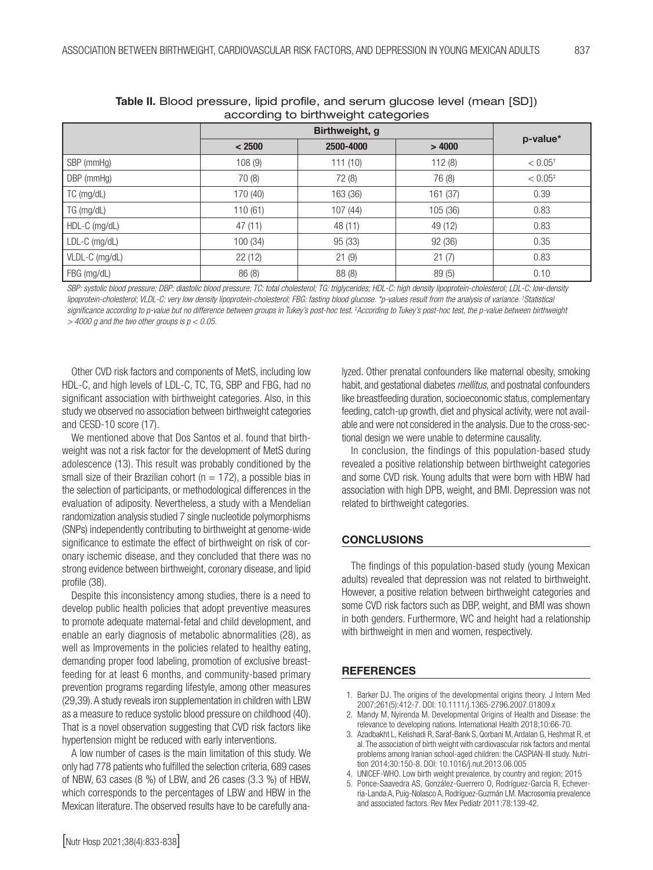| abool all igno bill trive digite batogoriou |          |           |          |                       |  |  |  |
|---------------------------------------------|----------|-----------|----------|-----------------------|--|--|--|
|                                             |          |           |          |                       |  |  |  |
|                                             | < 2500   | 2500-4000 | >4000    | p-value*              |  |  |  |
| SBP (mmHg)                                  | 108(9)   | 111(10)   | 112(8)   | $< 0.05$ <sup>+</sup> |  |  |  |
| DBP (mmHg)                                  | 70 (8)   | 72 (8)    | 76 (8)   | $< 0.05^{\circ}$      |  |  |  |
| $TC$ (mg/dL)                                | 170 (40) | 163 (36)  | 161 (37) | 0.39                  |  |  |  |
| $TG$ (mg/dL)                                | 110(61)  | 107(44)   | 105 (36) | 0.83                  |  |  |  |
| HDL-C (mg/dL)                               | 47(11)   | 48 (11)   | 49 (12)  | 0.83                  |  |  |  |
| LDL-C (mg/dL)                               | 100(34)  | 95 (33)   | 92 (36)  | 0.35                  |  |  |  |
| VLDL-C (mg/dL)                              | 22(12)   | 21(9)     | 21(7)    | 0.83                  |  |  |  |
| FBG (mg/dL)                                 | 86 (8)   | 88 (8)    | 89(5)    | 0.10                  |  |  |  |

|                                     | Table II. Blood pressure, lipid profile, and serum glucose level (mean [SD]) |  |  |  |  |  |  |  |  |
|-------------------------------------|------------------------------------------------------------------------------|--|--|--|--|--|--|--|--|
| according to birthweight categories |                                                                              |  |  |  |  |  |  |  |  |

*SBP: systolic blood pressure; DBP: diastolic blood pressure; TC: total cholesterol; TG: triglycerides; HDL-C: high density lipoprotein-cholesterol; LDL-C: low-density lipoprotein-cholesterol; VLDL-C: very low density lipoprotein-cholesterol; FBG: fasting blood glucose. \*p-values result from the analysis of variance. † Statistical*  significance according to p-value but no difference between groups in Tukey's post-hoc test. ‡According to Tukey's post-hoc test, the p-value between birthweight *> 4000 g and the two other groups is p < 0.05.*

Other CVD risk factors and components of MetS, including low HDL-C, and high levels of LDL-C, TC, TG, SBP and FBG, had no significant association with birthweight categories. Also, in this study we observed no association between birthweight categories and CESD-10 score (17).

We mentioned above that Dos Santos et al. found that birthweight was not a risk factor for the development of MetS during adolescence (13). This result was probably conditioned by the small size of their Brazilian cohort ( $n = 172$ ), a possible bias in the selection of participants, or methodological differences in the evaluation of adiposity. Nevertheless, a study with a Mendelian randomization analysis studied 7 single nucleotide polymorphisms (SNPs) independently contributing to birthweight at genome-wide significance to estimate the effect of birthweight on risk of coronary ischemic disease, and they concluded that there was no strong evidence between birthweight, coronary disease, and lipid profile (38).

Despite this inconsistency among studies, there is a need to develop public health policies that adopt preventive measures to promote adequate maternal-fetal and child development, and enable an early diagnosis of metabolic abnormalities (28), as well as Improvements in the policies related to healthy eating, demanding proper food labeling, promotion of exclusive breastfeeding for at least 6 months, and community-based primary prevention programs regarding lifestyle, among other measures (29,39). A study reveals iron supplementation in children with LBW as a measure to reduce systolic blood pressure on childhood (40). That is a novel observation suggesting that CVD risk factors like hypertension might be reduced with early interventions.

A low number of cases is the main limitation of this study. We only had 778 patients who fulfilled the selection criteria, 689 cases of NBW, 63 cases (8 %) of LBW, and 26 cases (3.3 %) of HBW, which corresponds to the percentages of LBW and HBW in the Mexican literature. The observed results have to be carefully analyzed. Other prenatal confounders like maternal obesity, smoking habit, and gestational diabetes *mellitus,* and postnatal confounders like breastfeeding duration, socioeconomic status, complementary feeding, catch-up growth, diet and physical activity, were not available and were not considered in the analysis. Due to the cross-sectional design we were unable to determine causality.

In conclusion, the findings of this population-based study revealed a positive relationship between birthweight categories and some CVD risk. Young adults that were born with HBW had association with high DPB, weight, and BMI. Depression was not related to birthweight categories.

### **CONCLUSIONS**

The findings of this population-based study (young Mexican adults) revealed that depression was not related to birthweight. However, a positive relation between birthweight categories and some CVD risk factors such as DBP, weight, and BMI was shown in both genders. Furthermore, WC and height had a relationship with birthweight in men and women, respectively.

### **REFERENCES**

- 1. Barker DJ. The origins of the developmental origins theory. J Intern Med 2007;261(5):412-7. DOI: 10.1111/j.1365-2796.2007.01809.x
- 2. Mandy M, Nyirenda M. Developmental Origins of Health and Disease: the relevance to developing nations. International Health 2018;10:66-70.
- 3. Azadbakht L, Kelishadi R, Saraf-Bank S, Qorbani M, Ardalan G, Heshmat R, et al. The association of birth weight with cardiovascular risk factors and mental problems among Iranian school-aged children: the CASPIAN-III study. Nutrition 2014;30:150-8. DOI: 10.1016/j.nut.2013.06.005
- 4. UNICEF-WHO. Low birth weight prevalence, by country and region; 2015
- 5. Ponce-Saavedra AS, González-Guerrero O, Rodríguez-García R, Echeverria-Landa A, Puig-Nolasco A, Rodríguez-Guzmán LM. Macrosomia prevalence and associated factors. Rev Mex Pediatr 2011;78:139-42.